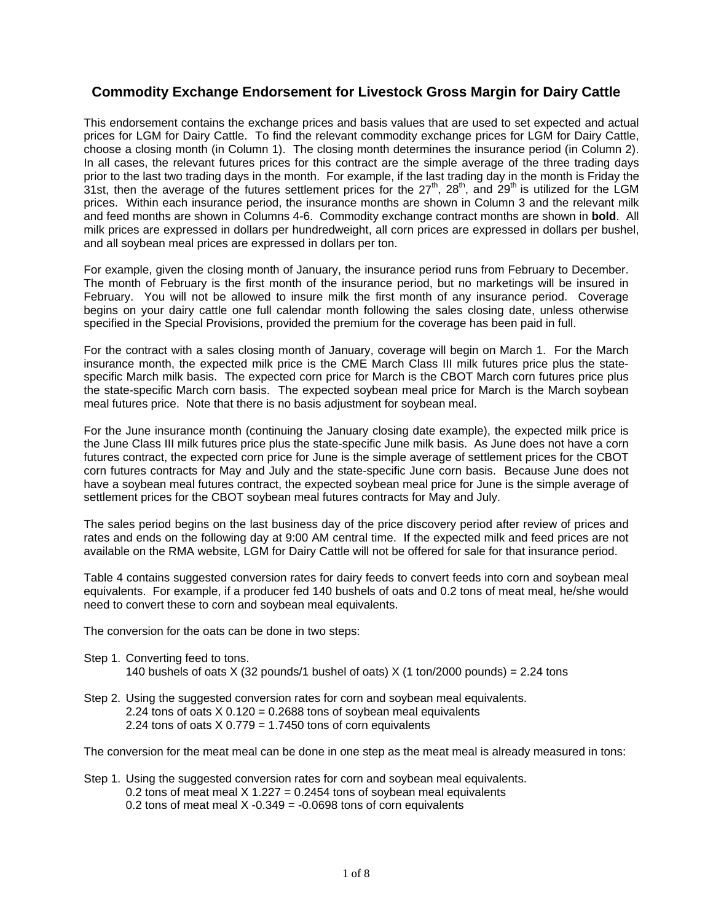## **Commodity Exchange Endorsement for Livestock Gross Margin for Dairy Cattle**

 choose a closing month (in Column 1). The closing month determines the insurance period (in Column 2). This endorsement contains the exchange prices and basis values that are used to set expected and actual prices for LGM for Dairy Cattle. To find the relevant commodity exchange prices for LGM for Dairy Cattle, In all cases, the relevant futures prices for this contract are the simple average of the three trading days prior to the last two trading days in the month. For example, if the last trading day in the month is Friday the 31st, then the average of the futures settlement prices for the  $27<sup>th</sup>$ ,  $28<sup>th</sup>$ , and  $29<sup>th</sup>$  is utilized for the LGM prices. Within each insurance period, the insurance months are shown in Column 3 and the relevant milk and feed months are shown in Columns 4-6. Commodity exchange contract months are shown in **bold**. All milk prices are expressed in dollars per hundredweight, all corn prices are expressed in dollars per bushel, and all soybean meal prices are expressed in dollars per ton.

For example, given the closing month of January, the insurance period runs from February to December. The month of February is the first month of the insurance period, but no marketings will be insured in February. You will not be allowed to insure milk the first month of any insurance period. Coverage begins on your dairy cattle one full calendar month following the sales closing date, unless otherwise specified in the Special Provisions, provided the premium for the coverage has been paid in full.

For the contract with a sales closing month of January, coverage will begin on March 1. For the March insurance month, the expected milk price is the CME March Class III milk futures price plus the statespecific March milk basis. The expected corn price for March is the CBOT March corn futures price plus the state-specific March corn basis. The expected soybean meal price for March is the March soybean meal futures price. Note that there is no basis adjustment for soybean meal.

For the June insurance month (continuing the January closing date example), the expected milk price is the June Class III milk futures price plus the state-specific June milk basis. As June does not have a corn futures contract, the expected corn price for June is the simple average of settlement prices for the CBOT corn futures contracts for May and July and the state-specific June corn basis. Because June does not have a soybean meal futures contract, the expected soybean meal price for June is the simple average of settlement prices for the CBOT soybean meal futures contracts for May and July.

The sales period begins on the last business day of the price discovery period after review of prices and rates and ends on the following day at 9:00 AM central time. If the expected milk and feed prices are not available on the RMA website, LGM for Dairy Cattle will not be offered for sale for that insurance period.

Table 4 contains suggested conversion rates for dairy feeds to convert feeds into corn and soybean meal equivalents. For example, if a producer fed 140 bushels of oats and 0.2 tons of meat meal, he/she would need to convert these to corn and soybean meal equivalents.

The conversion for the oats can be done in two steps:

- Step 1. Converting feed to tons.
	- 140 bushels of oats X (32 pounds/1 bushel of oats) X (1 ton/2000 pounds) = 2.24 tons
- Step 2. Using the suggested conversion rates for corn and soybean meal equivalents. 2.24 tons of oats  $X$  0.120 = 0.2688 tons of soybean meal equivalents 2.24 tons of oats  $X$  0.779 = 1.7450 tons of corn equivalents

The conversion for the meat meal can be done in one step as the meat meal is already measured in tons:

Step 1. Using the suggested conversion rates for corn and soybean meal equivalents. 0.2 tons of meat meal  $X$  1.227 = 0.2454 tons of soybean meal equivalents 0.2 tons of meat meal  $X -0.349 = -0.0698$  tons of corn equivalents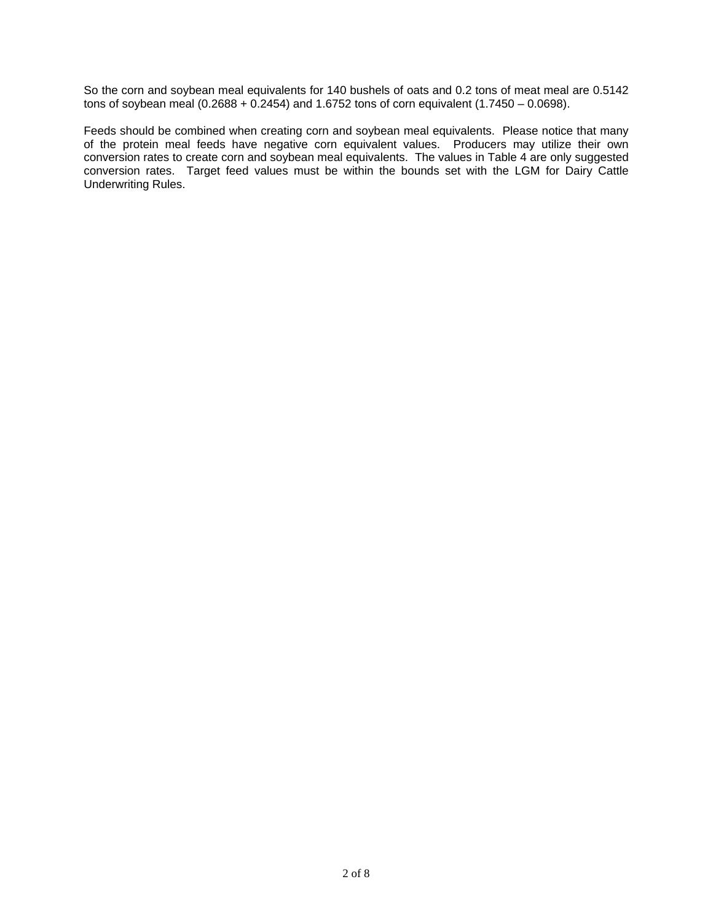So the corn and soybean meal equivalents for 140 bushels of oats and 0.2 tons of meat meal are 0.5142 tons of soybean meal  $(0.2688 + 0.2454)$  and 1.6752 tons of corn equivalent  $(1.7450 - 0.0698)$ .

Feeds should be combined when creating corn and soybean meal equivalents. Please notice that many of the protein meal feeds have negative corn equivalent values. Producers may utilize their own conversion rates to create corn and soybean meal equivalents. The values in Table 4 are only suggested conversion rates. Target feed values must be within the bounds set with the LGM for Dairy Cattle Underwriting Rules.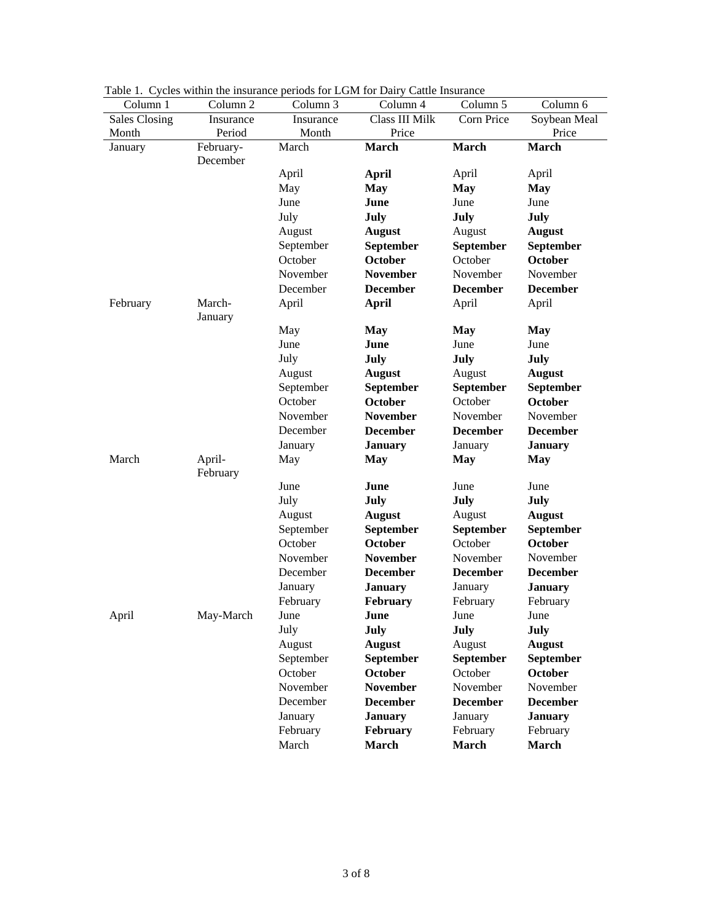| Column 1             | Column 2  | Column 3  | Facie 1. Cycles within the institutive periods for EGM for Darry Cattle Instituted<br>Column 4 | Column 5         | Column 6        |
|----------------------|-----------|-----------|------------------------------------------------------------------------------------------------|------------------|-----------------|
| <b>Sales Closing</b> | Insurance | Insurance | Class III Milk                                                                                 | Corn Price       | Soybean Meal    |
| Month                | Period    | Month     | Price                                                                                          |                  | Price           |
| January              | February- | March     | March                                                                                          | <b>March</b>     | <b>March</b>    |
|                      | December  |           |                                                                                                |                  |                 |
|                      |           | April     | April                                                                                          | April            | April           |
|                      |           | May       | <b>May</b>                                                                                     | <b>May</b>       | <b>May</b>      |
|                      |           | June      | June                                                                                           | June             | June            |
|                      |           | July      | July                                                                                           | July             | July            |
|                      |           | August    | <b>August</b>                                                                                  | August           | <b>August</b>   |
|                      |           | September | September                                                                                      | September        | September       |
|                      |           | October   | October                                                                                        | October          | October         |
|                      |           | November  | <b>November</b>                                                                                | November         | November        |
|                      |           | December  | <b>December</b>                                                                                | <b>December</b>  | <b>December</b> |
| February             | March-    | April     | <b>April</b>                                                                                   | April            | April           |
|                      | January   |           |                                                                                                |                  |                 |
|                      |           | May       | <b>May</b>                                                                                     | <b>May</b>       | <b>May</b>      |
|                      |           | June      | June                                                                                           | June             | June            |
|                      |           | July      | July                                                                                           | July             | July            |
|                      |           | August    | <b>August</b>                                                                                  | August           | <b>August</b>   |
|                      |           | September | September                                                                                      | September        | September       |
|                      |           | October   | October                                                                                        | October          | October         |
|                      |           | November  | <b>November</b>                                                                                | November         | November        |
|                      |           | December  | <b>December</b>                                                                                | <b>December</b>  | <b>December</b> |
|                      |           | January   | <b>January</b>                                                                                 | January          | <b>January</b>  |
| March                | April-    | May       | <b>May</b>                                                                                     | <b>May</b>       | <b>May</b>      |
|                      | February  |           |                                                                                                |                  |                 |
|                      |           | June      | June                                                                                           | June             | June            |
|                      |           | July      | July                                                                                           | July             | July            |
|                      |           | August    | <b>August</b>                                                                                  | August           | <b>August</b>   |
|                      |           | September | September                                                                                      | <b>September</b> | September       |
|                      |           | October   | October                                                                                        | October          | October         |
|                      |           | November  | <b>November</b>                                                                                | November         | November        |
|                      |           | December  | <b>December</b>                                                                                | <b>December</b>  | <b>December</b> |
|                      |           | January   | <b>January</b>                                                                                 | January          | <b>January</b>  |
|                      |           | February  | February                                                                                       | February         | February        |
| April                | May-March | June      | June                                                                                           | June             | June            |
|                      |           | July      | July                                                                                           | July             | July            |
|                      |           | August    | <b>August</b>                                                                                  | August           | <b>August</b>   |
|                      |           | September | September                                                                                      | September        | September       |
|                      |           | October   | <b>October</b>                                                                                 | October          | <b>October</b>  |
|                      |           | November  | <b>November</b>                                                                                | November         | November        |
|                      |           | December  | <b>December</b>                                                                                | <b>December</b>  | <b>December</b> |
|                      |           | January   | <b>January</b>                                                                                 | January          | <b>January</b>  |
|                      |           | February  | February                                                                                       | February         | February        |
|                      |           | March     | <b>March</b>                                                                                   | <b>March</b>     | March           |

Table 1. Cycles within the insurance periods for LGM for Dairy Cattle Insurance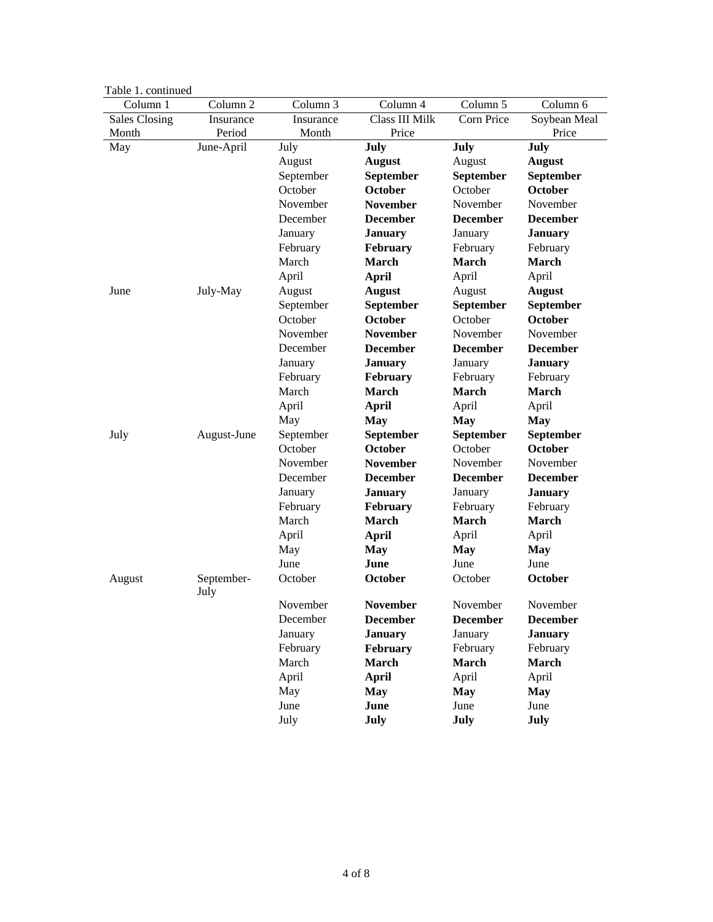| Lavit 1. Commute |                     |           |                 |                 |                 |
|------------------|---------------------|-----------|-----------------|-----------------|-----------------|
| Column 1         | Column <sub>2</sub> | Column 3  | Column 4        | Column 5        | Column 6        |
| Sales Closing    | Insurance           | Insurance | Class III Milk  | Corn Price      | Soybean Meal    |
| Month            | Period              | Month     | Price           |                 | Price           |
| May              | June-April          | July      | July            | July            | July            |
|                  |                     | August    | <b>August</b>   | August          | <b>August</b>   |
|                  |                     | September | September       | September       | September       |
|                  |                     | October   | October         | October         | October         |
|                  |                     | November  | <b>November</b> | November        | November        |
|                  |                     | December  | <b>December</b> | <b>December</b> | <b>December</b> |
|                  |                     | January   | <b>January</b>  | January         | <b>January</b>  |
|                  |                     | February  | February        | February        | February        |
|                  |                     | March     | March           | <b>March</b>    | <b>March</b>    |
|                  |                     | April     | <b>April</b>    | April           | April           |
| June             | July-May            | August    | <b>August</b>   | August          | <b>August</b>   |
|                  |                     | September | September       | September       | September       |
|                  |                     | October   | October         | October         | <b>October</b>  |
|                  |                     | November  | <b>November</b> | November        | November        |
|                  |                     | December  | <b>December</b> | <b>December</b> | <b>December</b> |
|                  |                     | January   | <b>January</b>  | January         | <b>January</b>  |
|                  |                     | February  | February        | February        | February        |
|                  |                     | March     | <b>March</b>    | <b>March</b>    | <b>March</b>    |
|                  |                     | April     | <b>April</b>    | April           | April           |
|                  |                     | May       | <b>May</b>      | <b>May</b>      | <b>May</b>      |
| July             | August-June         | September | September       | September       | September       |
|                  |                     | October   | October         | October         | October         |
|                  |                     | November  | <b>November</b> | November        | November        |
|                  |                     | December  | <b>December</b> | <b>December</b> | <b>December</b> |
|                  |                     | January   | <b>January</b>  | January         | <b>January</b>  |
|                  |                     | February  | February        | February        | February        |
|                  |                     | March     | <b>March</b>    | <b>March</b>    | <b>March</b>    |
|                  |                     | April     | <b>April</b>    | April           | April           |
|                  |                     | May       | <b>May</b>      | <b>May</b>      | <b>May</b>      |
|                  |                     | June      | June            | June            | June            |
| August           | September-<br>July  | October   | October         | October         | October         |
|                  |                     | November  | <b>November</b> | November        | November        |
|                  |                     | December  | <b>December</b> | <b>December</b> | <b>December</b> |
|                  |                     | January   | <b>January</b>  | January         | <b>January</b>  |
|                  |                     | February  | February        | February        | February        |
|                  |                     | March     | <b>March</b>    | <b>March</b>    | <b>March</b>    |
|                  |                     | April     | April           | April           | April           |
|                  |                     | May       | <b>May</b>      | <b>May</b>      | <b>May</b>      |
|                  |                     | June      | June            | June            | June            |
|                  |                     | July      | July            | July            | July            |
|                  |                     |           |                 |                 |                 |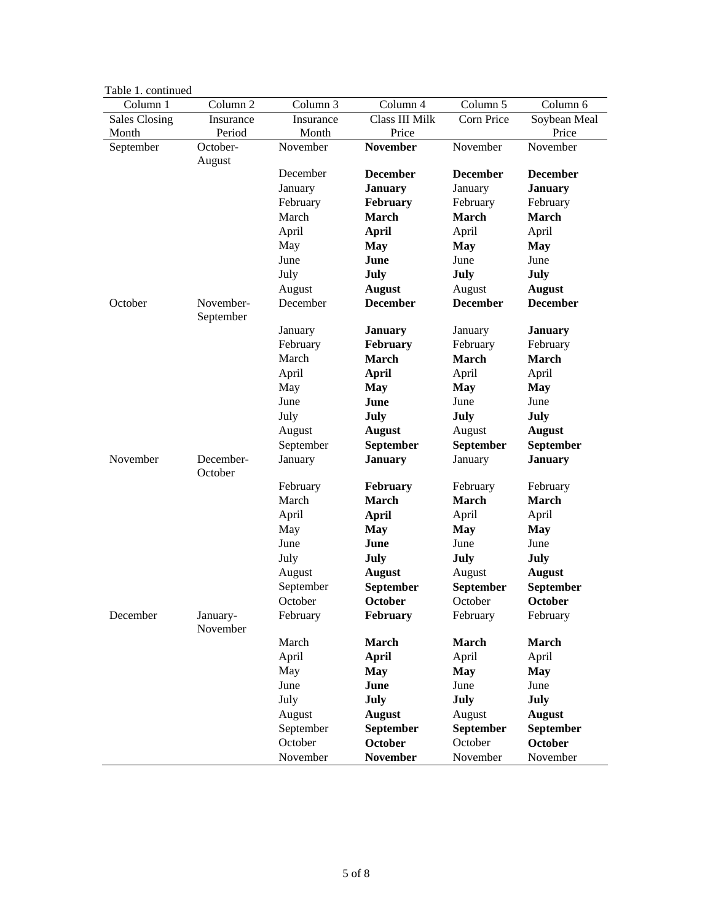| Table 1. continued   |                        |           |                 |                 |                 |  |  |  |  |
|----------------------|------------------------|-----------|-----------------|-----------------|-----------------|--|--|--|--|
| Column 1             | Column 2               | Column 3  | Column 4        | Column 5        | Column 6        |  |  |  |  |
| <b>Sales Closing</b> | Insurance              | Insurance | Class III Milk  | Corn Price      | Soybean Meal    |  |  |  |  |
| Month                | Period                 | Month     | Price           |                 | Price           |  |  |  |  |
| September            | October-<br>August     | November  | <b>November</b> | November        | November        |  |  |  |  |
|                      |                        | December  | <b>December</b> | <b>December</b> | <b>December</b> |  |  |  |  |
|                      |                        | January   | <b>January</b>  | January         | <b>January</b>  |  |  |  |  |
|                      |                        | February  | February        | February        | February        |  |  |  |  |
|                      |                        | March     | <b>March</b>    | March           | <b>March</b>    |  |  |  |  |
|                      |                        | April     | <b>April</b>    | April           | April           |  |  |  |  |
|                      |                        | May       | <b>May</b>      | <b>May</b>      | <b>May</b>      |  |  |  |  |
|                      |                        | June      | June            | June            | June            |  |  |  |  |
|                      |                        | July      | July            | July            | July            |  |  |  |  |
|                      |                        | August    | <b>August</b>   | August          | <b>August</b>   |  |  |  |  |
| October              | November-<br>September | December  | <b>December</b> | <b>December</b> | <b>December</b> |  |  |  |  |
|                      |                        | January   | <b>January</b>  | January         | <b>January</b>  |  |  |  |  |
|                      |                        | February  | February        | February        | February        |  |  |  |  |
|                      |                        | March     | <b>March</b>    | <b>March</b>    | <b>March</b>    |  |  |  |  |
|                      |                        | April     | <b>April</b>    | April           | April           |  |  |  |  |
|                      |                        | May       | <b>May</b>      | <b>May</b>      | <b>May</b>      |  |  |  |  |
|                      |                        | June      | June            | June            | June            |  |  |  |  |
|                      |                        | July      | <b>July</b>     | July            | July            |  |  |  |  |
|                      |                        | August    | <b>August</b>   | August          | <b>August</b>   |  |  |  |  |
|                      |                        | September | September       | September       | September       |  |  |  |  |
| November             | December-<br>October   | January   | <b>January</b>  | January         | <b>January</b>  |  |  |  |  |
|                      |                        | February  | <b>February</b> | February        | February        |  |  |  |  |
|                      |                        | March     | <b>March</b>    | <b>March</b>    | <b>March</b>    |  |  |  |  |
|                      |                        | April     | <b>April</b>    | April           | April           |  |  |  |  |
|                      |                        | May       | <b>May</b>      | <b>May</b>      | <b>May</b>      |  |  |  |  |
|                      |                        | June      | June            | June            | June            |  |  |  |  |
|                      |                        | July      | <b>July</b>     | July            | July            |  |  |  |  |
|                      |                        | August    | <b>August</b>   | August          | <b>August</b>   |  |  |  |  |
|                      |                        | September | September       | September       | September       |  |  |  |  |
|                      |                        | October   | October         | October         | October         |  |  |  |  |
| December             | January-<br>November   | February  | February        | February        | February        |  |  |  |  |
|                      |                        | March     | <b>March</b>    | March           | March           |  |  |  |  |
|                      |                        | April     | <b>April</b>    | April           | April           |  |  |  |  |
|                      |                        | May       | <b>May</b>      | <b>May</b>      | <b>May</b>      |  |  |  |  |
|                      |                        | June      | June            | June            | June            |  |  |  |  |
|                      |                        | July      | July            | July            | July            |  |  |  |  |
|                      |                        | August    | <b>August</b>   | August          | <b>August</b>   |  |  |  |  |
|                      |                        | September | September       | September       | September       |  |  |  |  |
|                      |                        | October   | October         | October         | <b>October</b>  |  |  |  |  |
|                      |                        | November  | <b>November</b> | November        | November        |  |  |  |  |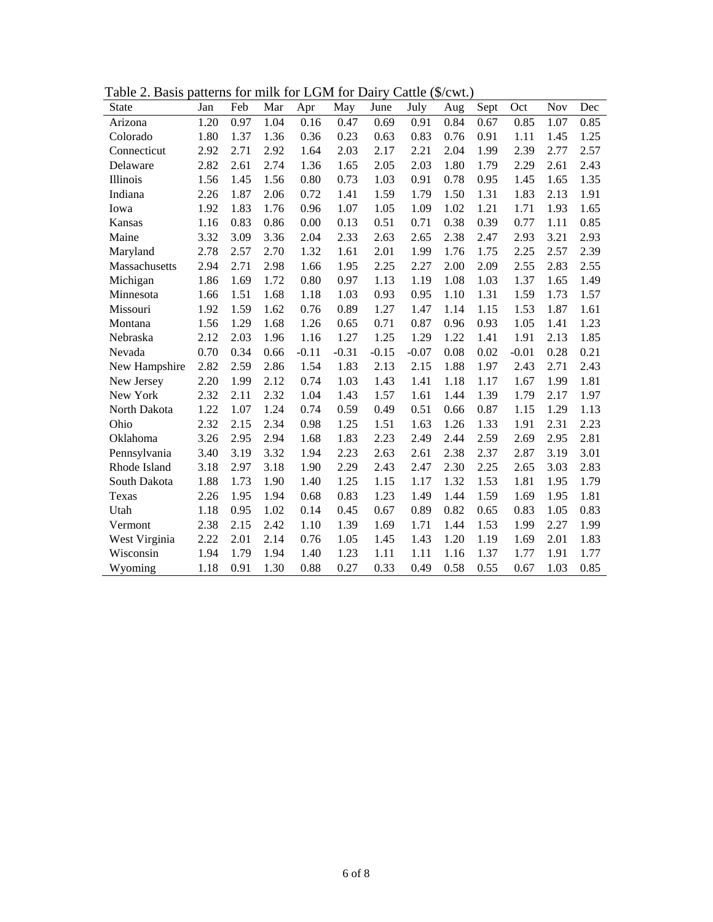| $1 \, \text{u}$ UIV $\omega$ . Dublo<br>$\alpha$ and $\alpha$ in the state $\alpha$ is the state $\alpha$<br>$\mathcal{L}$ atti $\mathcal{L} \setminus \psi \in \mathcal{V}$ or $\mathcal{L} \setminus \mathcal{L}$ |      |      |      |         |         |         |         |      |      |         |            |      |
|---------------------------------------------------------------------------------------------------------------------------------------------------------------------------------------------------------------------|------|------|------|---------|---------|---------|---------|------|------|---------|------------|------|
| <b>State</b>                                                                                                                                                                                                        | Jan  | Feb  | Mar  | Apr     | May     | June    | July    | Aug  | Sept | Oct     | <b>Nov</b> | Dec  |
| Arizona                                                                                                                                                                                                             | 1.20 | 0.97 | 1.04 | 0.16    | 0.47    | 0.69    | 0.91    | 0.84 | 0.67 | 0.85    | 1.07       | 0.85 |
| Colorado                                                                                                                                                                                                            | 1.80 | 1.37 | 1.36 | 0.36    | 0.23    | 0.63    | 0.83    | 0.76 | 0.91 | 1.11    | 1.45       | 1.25 |
| Connecticut                                                                                                                                                                                                         | 2.92 | 2.71 | 2.92 | 1.64    | 2.03    | 2.17    | 2.21    | 2.04 | 1.99 | 2.39    | 2.77       | 2.57 |
| Delaware                                                                                                                                                                                                            | 2.82 | 2.61 | 2.74 | 1.36    | 1.65    | 2.05    | 2.03    | 1.80 | 1.79 | 2.29    | 2.61       | 2.43 |
| Illinois                                                                                                                                                                                                            | 1.56 | 1.45 | 1.56 | 0.80    | 0.73    | 1.03    | 0.91    | 0.78 | 0.95 | 1.45    | 1.65       | 1.35 |
| Indiana                                                                                                                                                                                                             | 2.26 | 1.87 | 2.06 | 0.72    | 1.41    | 1.59    | 1.79    | 1.50 | 1.31 | 1.83    | 2.13       | 1.91 |
| Iowa                                                                                                                                                                                                                | 1.92 | 1.83 | 1.76 | 0.96    | 1.07    | 1.05    | 1.09    | 1.02 | 1.21 | 1.71    | 1.93       | 1.65 |
| Kansas                                                                                                                                                                                                              | 1.16 | 0.83 | 0.86 | 0.00    | 0.13    | 0.51    | 0.71    | 0.38 | 0.39 | 0.77    | 1.11       | 0.85 |
| Maine                                                                                                                                                                                                               | 3.32 | 3.09 | 3.36 | 2.04    | 2.33    | 2.63    | 2.65    | 2.38 | 2.47 | 2.93    | 3.21       | 2.93 |
| Maryland                                                                                                                                                                                                            | 2.78 | 2.57 | 2.70 | 1.32    | 1.61    | 2.01    | 1.99    | 1.76 | 1.75 | 2.25    | 2.57       | 2.39 |
| Massachusetts                                                                                                                                                                                                       | 2.94 | 2.71 | 2.98 | 1.66    | 1.95    | 2.25    | 2.27    | 2.00 | 2.09 | 2.55    | 2.83       | 2.55 |
| Michigan                                                                                                                                                                                                            | 1.86 | 1.69 | 1.72 | 0.80    | 0.97    | 1.13    | 1.19    | 1.08 | 1.03 | 1.37    | 1.65       | 1.49 |
| Minnesota                                                                                                                                                                                                           | 1.66 | 1.51 | 1.68 | 1.18    | 1.03    | 0.93    | 0.95    | 1.10 | 1.31 | 1.59    | 1.73       | 1.57 |
| Missouri                                                                                                                                                                                                            | 1.92 | 1.59 | 1.62 | 0.76    | 0.89    | 1.27    | 1.47    | 1.14 | 1.15 | 1.53    | 1.87       | 1.61 |
| Montana                                                                                                                                                                                                             | 1.56 | 1.29 | 1.68 | 1.26    | 0.65    | 0.71    | 0.87    | 0.96 | 0.93 | 1.05    | 1.41       | 1.23 |
| Nebraska                                                                                                                                                                                                            | 2.12 | 2.03 | 1.96 | 1.16    | 1.27    | 1.25    | 1.29    | 1.22 | 1.41 | 1.91    | 2.13       | 1.85 |
| Nevada                                                                                                                                                                                                              | 0.70 | 0.34 | 0.66 | $-0.11$ | $-0.31$ | $-0.15$ | $-0.07$ | 0.08 | 0.02 | $-0.01$ | 0.28       | 0.21 |
| New Hampshire                                                                                                                                                                                                       | 2.82 | 2.59 | 2.86 | 1.54    | 1.83    | 2.13    | 2.15    | 1.88 | 1.97 | 2.43    | 2.71       | 2.43 |
| New Jersey                                                                                                                                                                                                          | 2.20 | 1.99 | 2.12 | 0.74    | 1.03    | 1.43    | 1.41    | 1.18 | 1.17 | 1.67    | 1.99       | 1.81 |
| New York                                                                                                                                                                                                            | 2.32 | 2.11 | 2.32 | 1.04    | 1.43    | 1.57    | 1.61    | 1.44 | 1.39 | 1.79    | 2.17       | 1.97 |
| North Dakota                                                                                                                                                                                                        | 1.22 | 1.07 | 1.24 | 0.74    | 0.59    | 0.49    | 0.51    | 0.66 | 0.87 | 1.15    | 1.29       | 1.13 |
| Ohio                                                                                                                                                                                                                | 2.32 | 2.15 | 2.34 | 0.98    | 1.25    | 1.51    | 1.63    | 1.26 | 1.33 | 1.91    | 2.31       | 2.23 |
| Oklahoma                                                                                                                                                                                                            | 3.26 | 2.95 | 2.94 | 1.68    | 1.83    | 2.23    | 2.49    | 2.44 | 2.59 | 2.69    | 2.95       | 2.81 |
| Pennsylvania                                                                                                                                                                                                        | 3.40 | 3.19 | 3.32 | 1.94    | 2.23    | 2.63    | 2.61    | 2.38 | 2.37 | 2.87    | 3.19       | 3.01 |
| Rhode Island                                                                                                                                                                                                        | 3.18 | 2.97 | 3.18 | 1.90    | 2.29    | 2.43    | 2.47    | 2.30 | 2.25 | 2.65    | 3.03       | 2.83 |
| South Dakota                                                                                                                                                                                                        | 1.88 | 1.73 | 1.90 | 1.40    | 1.25    | 1.15    | 1.17    | 1.32 | 1.53 | 1.81    | 1.95       | 1.79 |
| Texas                                                                                                                                                                                                               | 2.26 | 1.95 | 1.94 | 0.68    | 0.83    | 1.23    | 1.49    | 1.44 | 1.59 | 1.69    | 1.95       | 1.81 |
| Utah                                                                                                                                                                                                                | 1.18 | 0.95 | 1.02 | 0.14    | 0.45    | 0.67    | 0.89    | 0.82 | 0.65 | 0.83    | 1.05       | 0.83 |
| Vermont                                                                                                                                                                                                             | 2.38 | 2.15 | 2.42 | 1.10    | 1.39    | 1.69    | 1.71    | 1.44 | 1.53 | 1.99    | 2.27       | 1.99 |
| West Virginia                                                                                                                                                                                                       | 2.22 | 2.01 | 2.14 | 0.76    | 1.05    | 1.45    | 1.43    | 1.20 | 1.19 | 1.69    | 2.01       | 1.83 |
| Wisconsin                                                                                                                                                                                                           | 1.94 | 1.79 | 1.94 | 1.40    | 1.23    | 1.11    | 1.11    | 1.16 | 1.37 | 1.77    | 1.91       | 1.77 |
| Wyoming                                                                                                                                                                                                             | 1.18 | 0.91 | 1.30 | 0.88    | 0.27    | 0.33    | 0.49    | 0.58 | 0.55 | 0.67    | 1.03       | 0.85 |

Table 2. Basis patterns for milk for LGM for Dairy Cattle (\$/cwt.)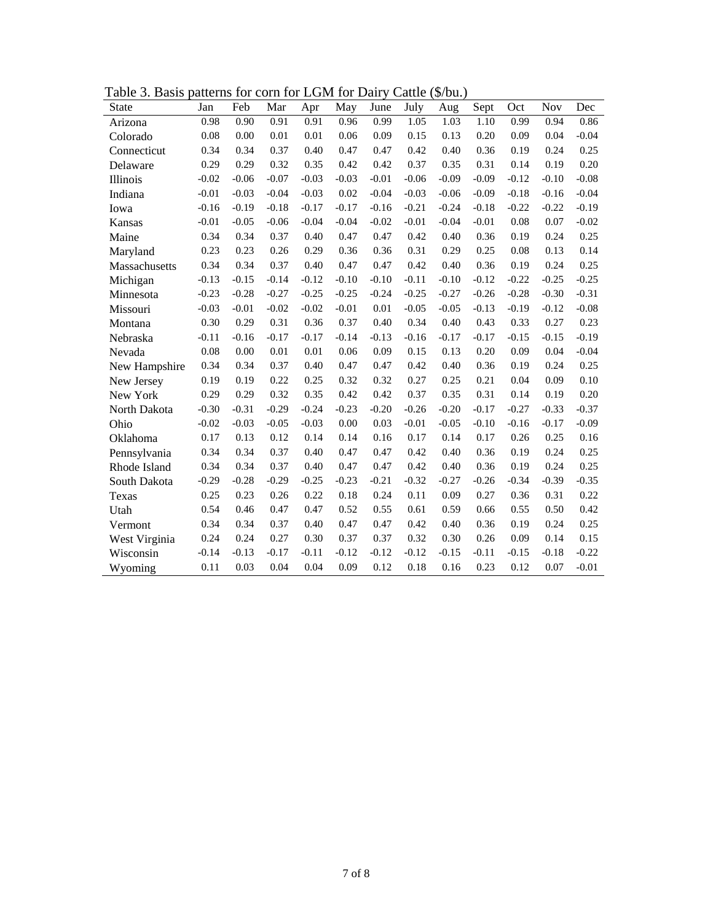| State         | Jan     | Feb     | Mar     | Apr     | May     | June    | July    | Aug     | Sept    | Oct     | <b>Nov</b> | Dec     |
|---------------|---------|---------|---------|---------|---------|---------|---------|---------|---------|---------|------------|---------|
| Arizona       | 0.98    | 0.90    | 0.91    | 0.91    | 0.96    | 0.99    | 1.05    | 1.03    | 1.10    | 0.99    | 0.94       | 0.86    |
| Colorado      | 0.08    | 0.00    | 0.01    | 0.01    | 0.06    | 0.09    | 0.15    | 0.13    | 0.20    | 0.09    | 0.04       | $-0.04$ |
| Connecticut   | 0.34    | 0.34    | 0.37    | 0.40    | 0.47    | 0.47    | 0.42    | 0.40    | 0.36    | 0.19    | 0.24       | 0.25    |
| Delaware      | 0.29    | 0.29    | 0.32    | 0.35    | 0.42    | 0.42    | 0.37    | 0.35    | 0.31    | 0.14    | 0.19       | 0.20    |
| Illinois      | $-0.02$ | $-0.06$ | $-0.07$ | $-0.03$ | $-0.03$ | $-0.01$ | $-0.06$ | $-0.09$ | $-0.09$ | $-0.12$ | $-0.10$    | $-0.08$ |
| Indiana       | $-0.01$ | $-0.03$ | $-0.04$ | $-0.03$ | 0.02    | $-0.04$ | $-0.03$ | $-0.06$ | $-0.09$ | $-0.18$ | $-0.16$    | $-0.04$ |
| Iowa          | $-0.16$ | $-0.19$ | $-0.18$ | $-0.17$ | $-0.17$ | $-0.16$ | $-0.21$ | $-0.24$ | $-0.18$ | $-0.22$ | $-0.22$    | $-0.19$ |
| Kansas        | $-0.01$ | $-0.05$ | $-0.06$ | $-0.04$ | $-0.04$ | $-0.02$ | $-0.01$ | $-0.04$ | $-0.01$ | 0.08    | 0.07       | $-0.02$ |
| Maine         | 0.34    | 0.34    | 0.37    | 0.40    | 0.47    | 0.47    | 0.42    | 0.40    | 0.36    | 0.19    | 0.24       | 0.25    |
| Maryland      | 0.23    | 0.23    | 0.26    | 0.29    | 0.36    | 0.36    | 0.31    | 0.29    | 0.25    | 0.08    | 0.13       | 0.14    |
| Massachusetts | 0.34    | 0.34    | 0.37    | 0.40    | 0.47    | 0.47    | 0.42    | 0.40    | 0.36    | 0.19    | 0.24       | 0.25    |
| Michigan      | $-0.13$ | $-0.15$ | $-0.14$ | $-0.12$ | $-0.10$ | $-0.10$ | $-0.11$ | $-0.10$ | $-0.12$ | $-0.22$ | $-0.25$    | $-0.25$ |
| Minnesota     | $-0.23$ | $-0.28$ | $-0.27$ | $-0.25$ | $-0.25$ | $-0.24$ | $-0.25$ | $-0.27$ | $-0.26$ | $-0.28$ | $-0.30$    | $-0.31$ |
| Missouri      | $-0.03$ | $-0.01$ | $-0.02$ | $-0.02$ | $-0.01$ | 0.01    | $-0.05$ | $-0.05$ | $-0.13$ | $-0.19$ | $-0.12$    | $-0.08$ |
| Montana       | 0.30    | 0.29    | 0.31    | 0.36    | 0.37    | 0.40    | 0.34    | 0.40    | 0.43    | 0.33    | 0.27       | 0.23    |
| Nebraska      | $-0.11$ | $-0.16$ | $-0.17$ | $-0.17$ | $-0.14$ | $-0.13$ | $-0.16$ | $-0.17$ | $-0.17$ | $-0.15$ | $-0.15$    | $-0.19$ |
| Nevada        | 0.08    | 0.00    | 0.01    | 0.01    | 0.06    | 0.09    | 0.15    | 0.13    | 0.20    | 0.09    | 0.04       | $-0.04$ |
| New Hampshire | 0.34    | 0.34    | 0.37    | 0.40    | 0.47    | 0.47    | 0.42    | 0.40    | 0.36    | 0.19    | 0.24       | 0.25    |
| New Jersey    | 0.19    | 0.19    | 0.22    | 0.25    | 0.32    | 0.32    | 0.27    | 0.25    | 0.21    | 0.04    | 0.09       | 0.10    |
| New York      | 0.29    | 0.29    | 0.32    | 0.35    | 0.42    | 0.42    | 0.37    | 0.35    | 0.31    | 0.14    | 0.19       | 0.20    |
| North Dakota  | $-0.30$ | $-0.31$ | $-0.29$ | $-0.24$ | $-0.23$ | $-0.20$ | $-0.26$ | $-0.20$ | $-0.17$ | $-0.27$ | $-0.33$    | $-0.37$ |
| Ohio          | $-0.02$ | $-0.03$ | $-0.05$ | $-0.03$ | 0.00    | 0.03    | $-0.01$ | $-0.05$ | $-0.10$ | $-0.16$ | $-0.17$    | $-0.09$ |
| Oklahoma      | 0.17    | 0.13    | 0.12    | 0.14    | 0.14    | 0.16    | 0.17    | 0.14    | 0.17    | 0.26    | 0.25       | 0.16    |
| Pennsylvania  | 0.34    | 0.34    | 0.37    | 0.40    | 0.47    | 0.47    | 0.42    | 0.40    | 0.36    | 0.19    | 0.24       | 0.25    |
| Rhode Island  | 0.34    | 0.34    | 0.37    | 0.40    | 0.47    | 0.47    | 0.42    | 0.40    | 0.36    | 0.19    | 0.24       | 0.25    |
| South Dakota  | $-0.29$ | $-0.28$ | $-0.29$ | $-0.25$ | $-0.23$ | $-0.21$ | $-0.32$ | $-0.27$ | $-0.26$ | $-0.34$ | $-0.39$    | $-0.35$ |
| Texas         | 0.25    | 0.23    | 0.26    | 0.22    | 0.18    | 0.24    | 0.11    | 0.09    | 0.27    | 0.36    | 0.31       | 0.22    |
| Utah          | 0.54    | 0.46    | 0.47    | 0.47    | 0.52    | 0.55    | 0.61    | 0.59    | 0.66    | 0.55    | 0.50       | 0.42    |
| Vermont       | 0.34    | 0.34    | 0.37    | 0.40    | 0.47    | 0.47    | 0.42    | 0.40    | 0.36    | 0.19    | 0.24       | 0.25    |
| West Virginia | 0.24    | 0.24    | 0.27    | 0.30    | 0.37    | 0.37    | 0.32    | 0.30    | 0.26    | 0.09    | 0.14       | 0.15    |
| Wisconsin     | $-0.14$ | $-0.13$ | $-0.17$ | $-0.11$ | $-0.12$ | $-0.12$ | $-0.12$ | $-0.15$ | $-0.11$ | $-0.15$ | $-0.18$    | $-0.22$ |
| Wyoming       | 0.11    | 0.03    | 0.04    | 0.04    | 0.09    | 0.12    | 0.18    | 0.16    | 0.23    | 0.12    | 0.07       | $-0.01$ |